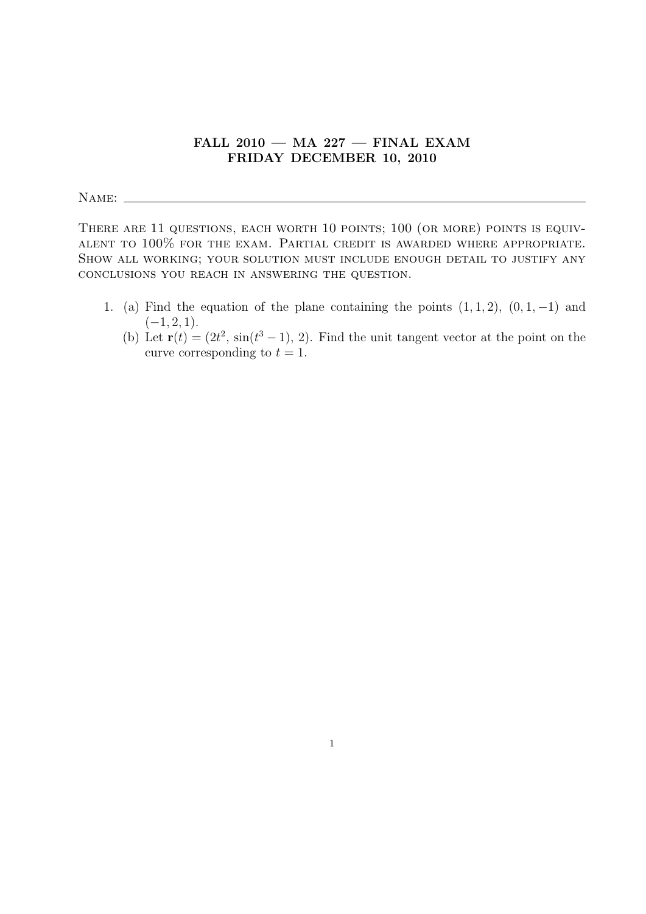## **FALL 2010 — MA 227 — FINAL EXAM FRIDAY DECEMBER 10, 2010**

NAME:

THERE ARE 11 QUESTIONS, EACH WORTH 10 POINTS; 100 (OR MORE) POINTS IS EQUIValent to 100% for the exam. Partial credit is awarded where appropriate. Show all working; your solution must include enough detail to justify any conclusions you reach in answering the question.

- 1. (a) Find the equation of the plane containing the points  $(1, 1, 2)$ ,  $(0, 1, -1)$  and (*−*1*,* 2*,* 1).
	- (b) Let  $\mathbf{r}(t) = (2t^2, \sin(t^3 1), 2)$ . Find the unit tangent vector at the point on the curve corresponding to  $t = 1$ .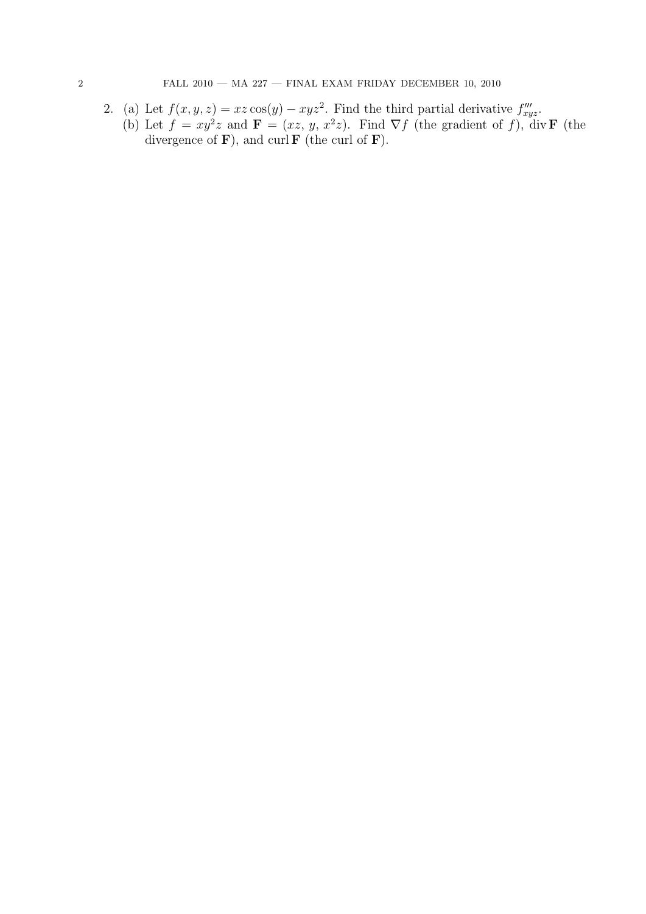2. (a) Let  $f(x, y, z) = xz \cos(y) - xyz^2$ . Find the third partial derivative  $f''_{xyz}$ . (b) Let  $f = xy^2z$  and  $\mathbf{F} = (xz, y, x^2z)$ . Find  $\nabla f$  (the gradient of *f*), div **F** (the divergence of  $\mathbf{F}$ ), and curl  $\mathbf{F}$  (the curl of  $\mathbf{F}$ ).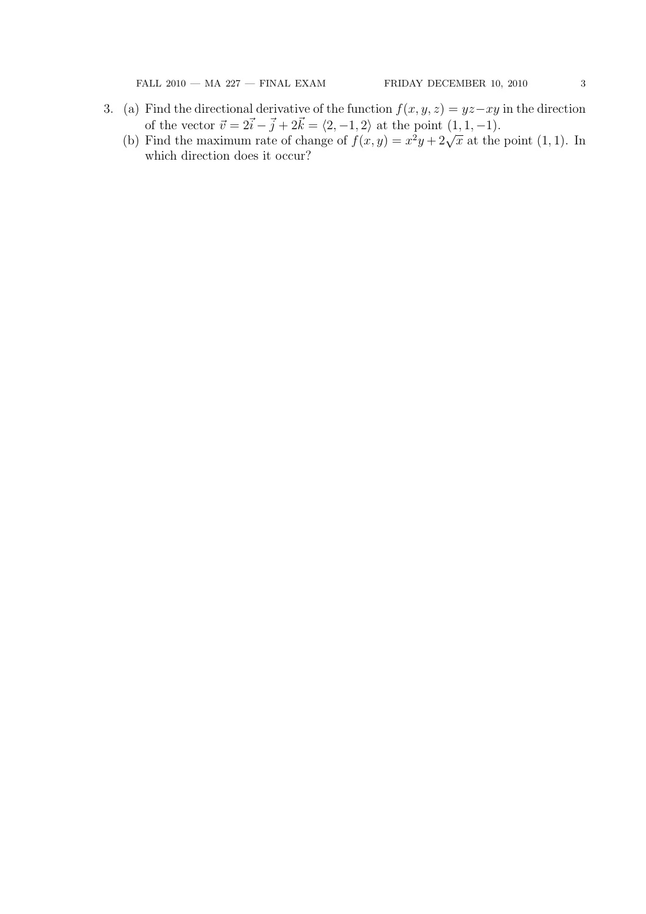FALL 2010 — MA 227 — FINAL EXAM FRIDAY DECEMBER 10, 2010  $\qquad \qquad 3$ 

- 3. (a) Find the directional derivative of the function  $f(x, y, z) = yz xy$  in the direction of the vector  $\vec{v} = 2\vec{i} - \vec{j} + 2\vec{k} = \langle 2, -1, 2 \rangle$  at the point  $(1, 1, -1)$ .
	- (b) Find the maximum rate of change of  $f(x, y) = x^2y + 2\sqrt{x}$  at the point (1, 1). In which direction does it occur?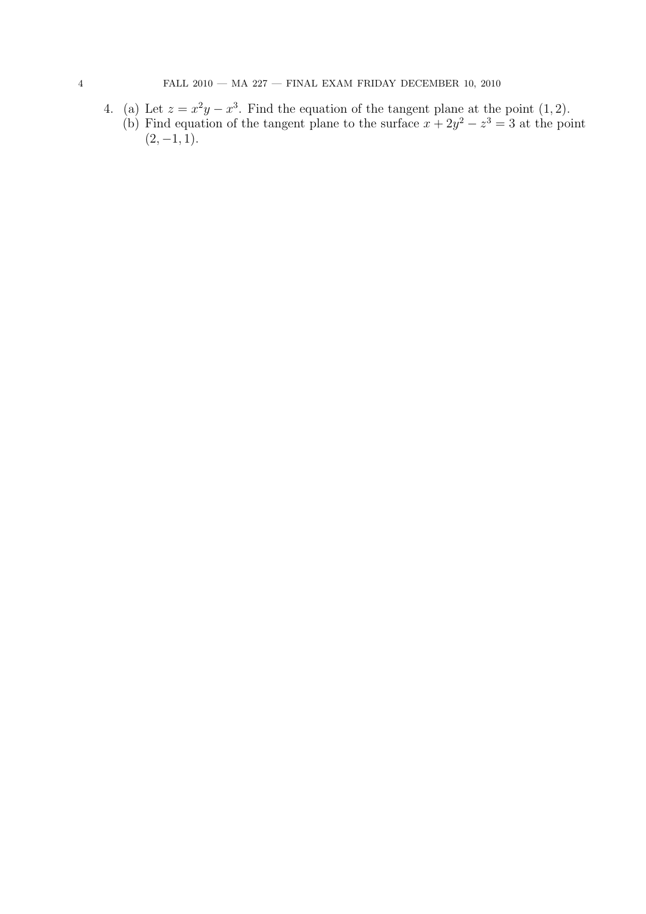4. (a) Let  $z = x^2y - x^3$ . Find the equation of the tangent plane at the point (1, 2). (b) Find equation of the tangent plane to the surface  $x + 2y^2 - z^3 = 3$  at the point  $(2, -1, 1).$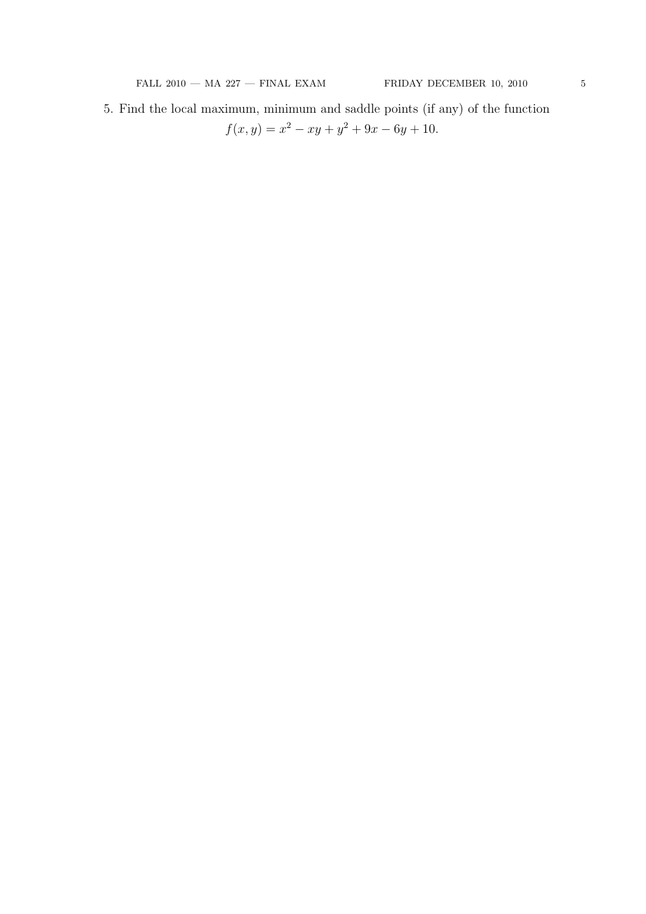5. Find the local maximum, minimum and saddle points (if any) of the function  $f(x, y) = x^2 - xy + y^2 + 9x - 6y + 10.$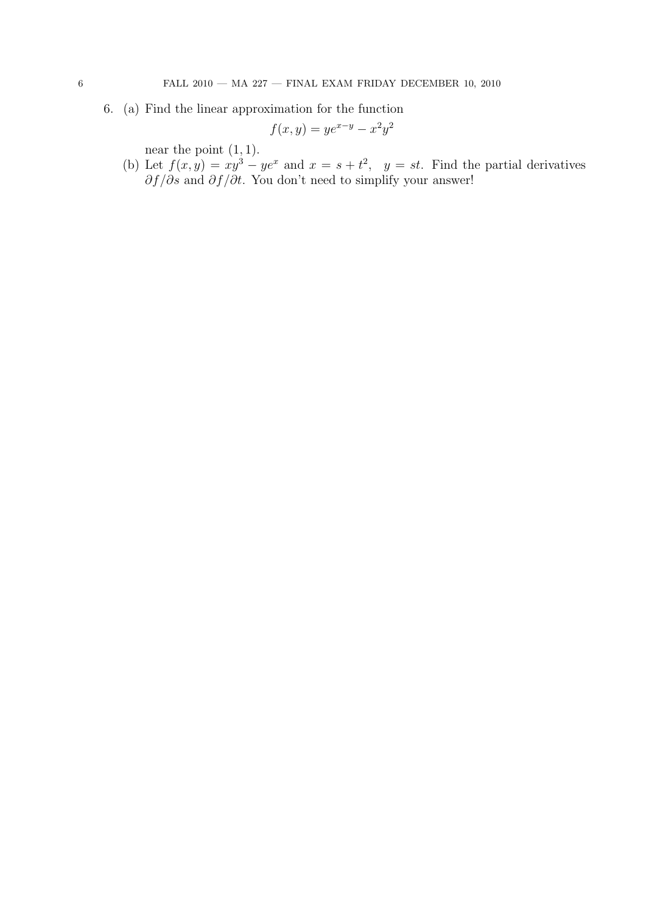6. (a) Find the linear approximation for the function

$$
f(x,y) = ye^{x-y} - x^2y^2
$$

near the point  $(1, 1)$ .

(b) Let  $f(x, y) = xy^3 - ye^x$  and  $x = s + t^2$ ,  $y = st$ . Find the partial derivatives *∂f/∂s* and *∂f/∂t*. You don't need to simplify your answer!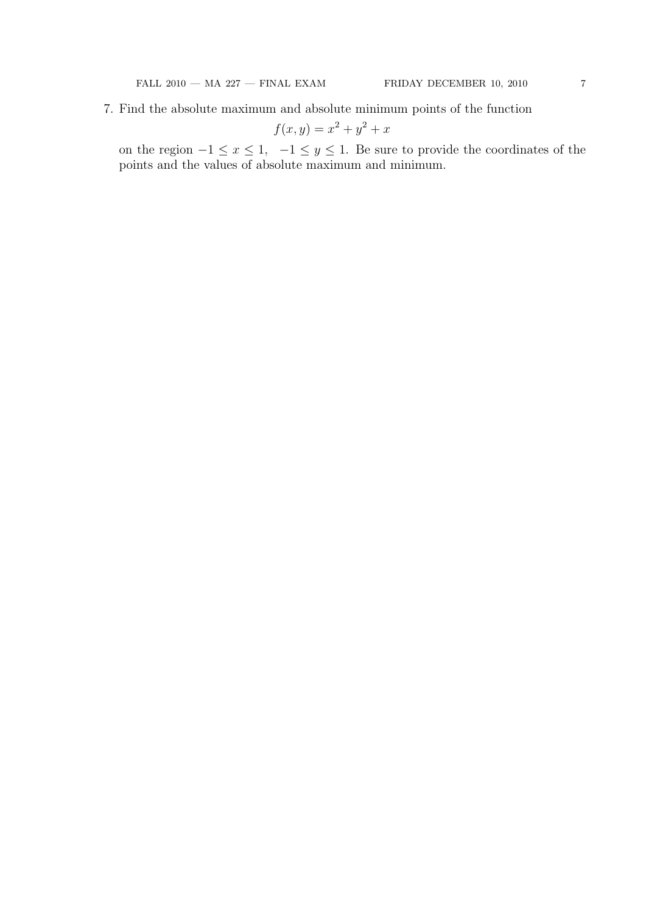$$
f(x,y) = x^2 + y^2 + x
$$

on the region  $-1 \le x \le 1$ ,  $-1 \le y \le 1$ . Be sure to provide the coordinates of the points and the values of absolute maximum and minimum.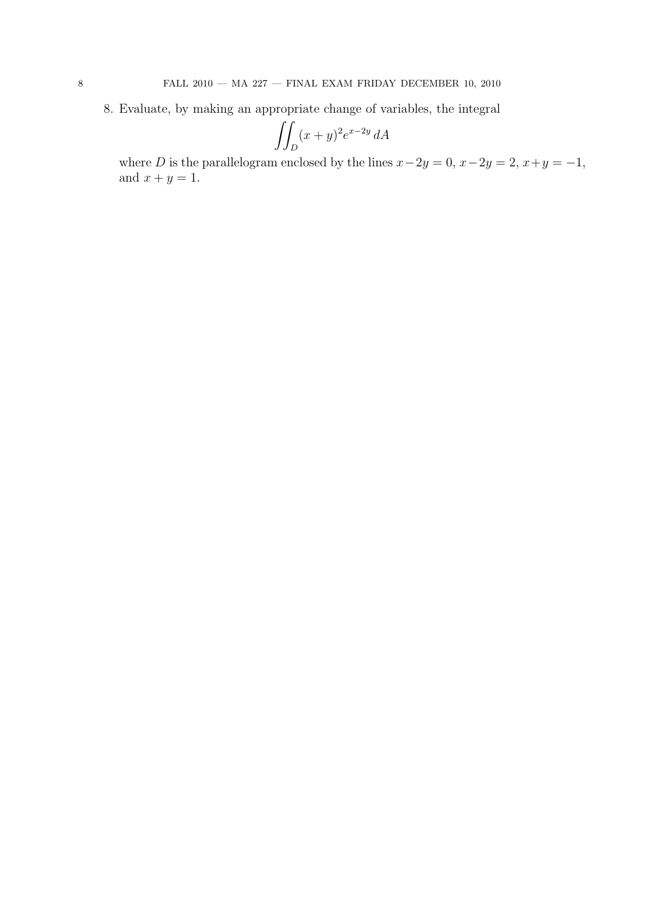8. Evaluate, by making an appropriate change of variables, the integral

$$
\iint_D (x+y)^2 e^{x-2y} dA
$$

where *D* is the parallelogram enclosed by the lines  $x - 2y = 0$ ,  $x - 2y = 2$ ,  $x + y = -1$ , and  $x + y = 1$ .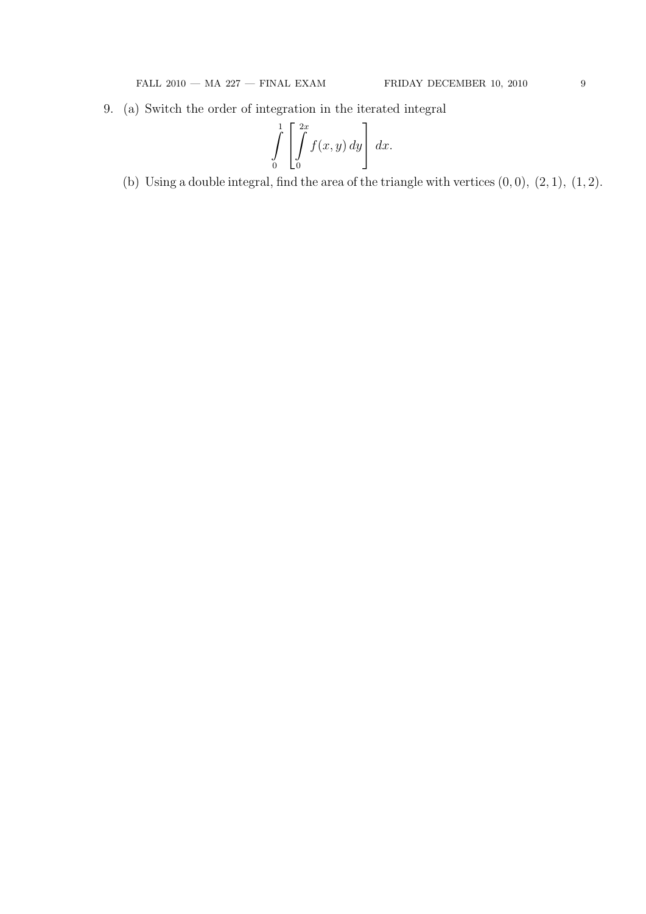9. (a) Switch the order of integration in the iterated integral

$$
\int\limits_{0}^{1} \left[ \int\limits_{0}^{2x} f(x, y) \, dy \right] \, dx.
$$

(b) Using a double integral, find the area of the triangle with vertices  $(0,0)$ ,  $(2,1)$ ,  $(1,2)$ .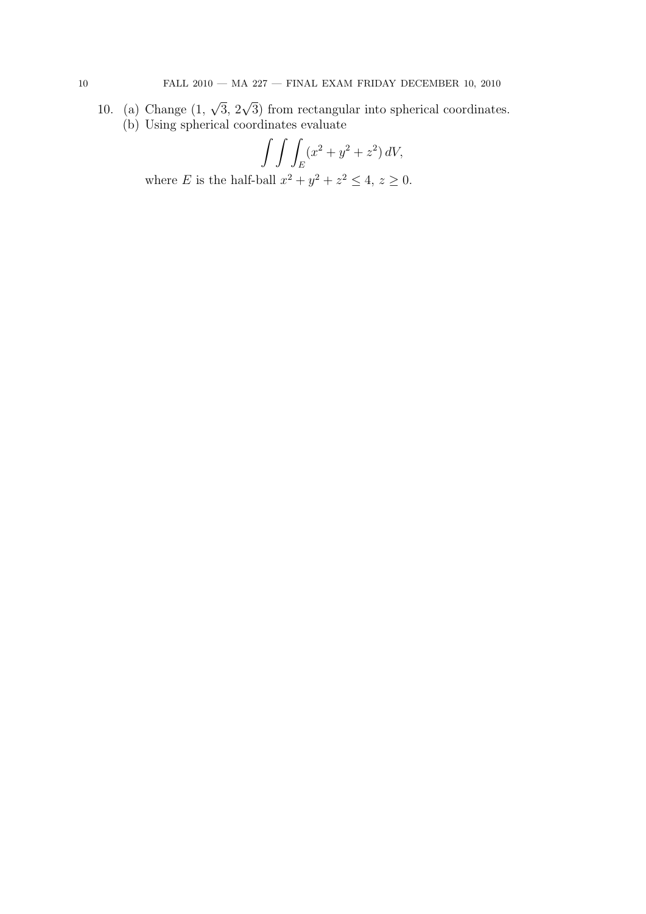10. (a) Change  $(1, \sqrt{3}, 2\sqrt{3})$  from rectangular into spherical coordinates. (b) Using spherical coordinates evaluate

$$
\int \int \int_E (x^2 + y^2 + z^2) \, dV,
$$

where *E* is the half-ball  $x^2 + y^2 + z^2 \le 4$ ,  $z \ge 0$ .